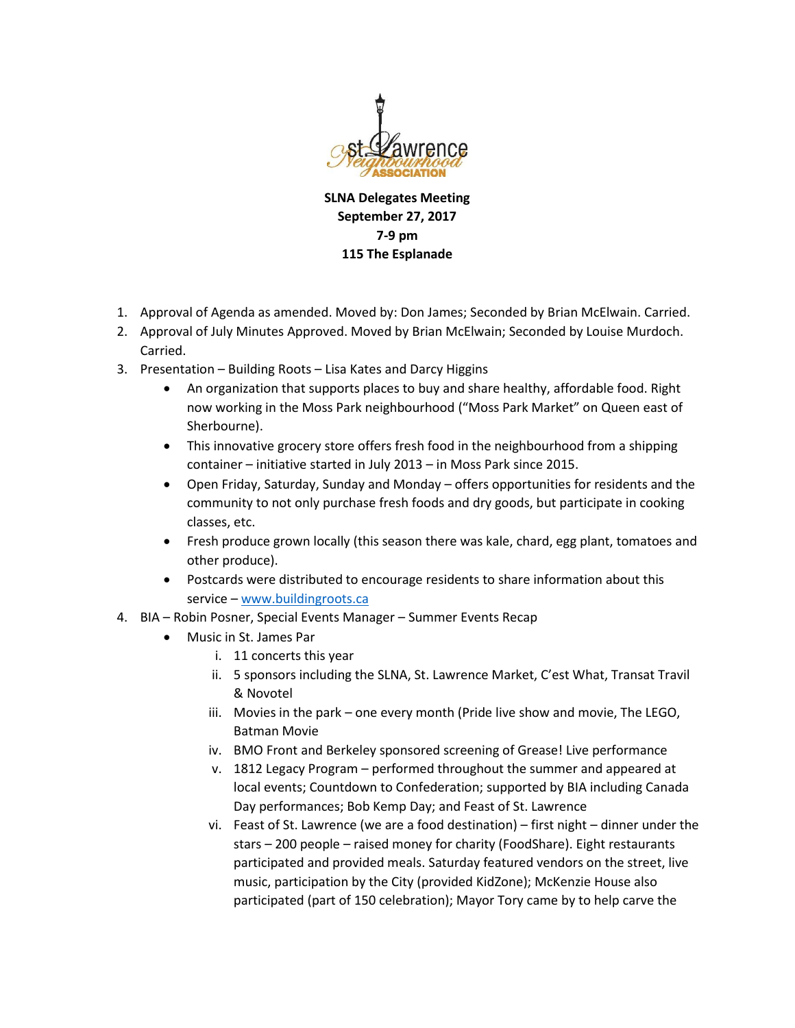

**SLNA Delegates Meeting September 27, 2017 7-9 pm 115 The Esplanade**

- 1. Approval of Agenda as amended. Moved by: Don James; Seconded by Brian McElwain. Carried.
- 2. Approval of July Minutes Approved. Moved by Brian McElwain; Seconded by Louise Murdoch. Carried.
- 3. Presentation Building Roots Lisa Kates and Darcy Higgins
	- An organization that supports places to buy and share healthy, affordable food. Right now working in the Moss Park neighbourhood ("Moss Park Market" on Queen east of Sherbourne).
	- This innovative grocery store offers fresh food in the neighbourhood from a shipping container – initiative started in July 2013 – in Moss Park since 2015.
	- Open Friday, Saturday, Sunday and Monday offers opportunities for residents and the community to not only purchase fresh foods and dry goods, but participate in cooking classes, etc.
	- Fresh produce grown locally (this season there was kale, chard, egg plant, tomatoes and other produce).
	- Postcards were distributed to encourage residents to share information about this service – [www.buildingroots.ca](http://www.buildingroots.ca/)
- 4. BIA Robin Posner, Special Events Manager Summer Events Recap
	- Music in St. James Par
		- i. 11 concerts this year
		- ii. 5 sponsors including the SLNA, St. Lawrence Market, C'est What, Transat Travil & Novotel
		- iii. Movies in the park one every month (Pride live show and movie, The LEGO, Batman Movie
		- iv. BMO Front and Berkeley sponsored screening of Grease! Live performance
		- v. 1812 Legacy Program performed throughout the summer and appeared at local events; Countdown to Confederation; supported by BIA including Canada Day performances; Bob Kemp Day; and Feast of St. Lawrence
		- vi. Feast of St. Lawrence (we are a food destination) first night dinner under the stars – 200 people – raised money for charity (FoodShare). Eight restaurants participated and provided meals. Saturday featured vendors on the street, live music, participation by the City (provided KidZone); McKenzie House also participated (part of 150 celebration); Mayor Tory came by to help carve the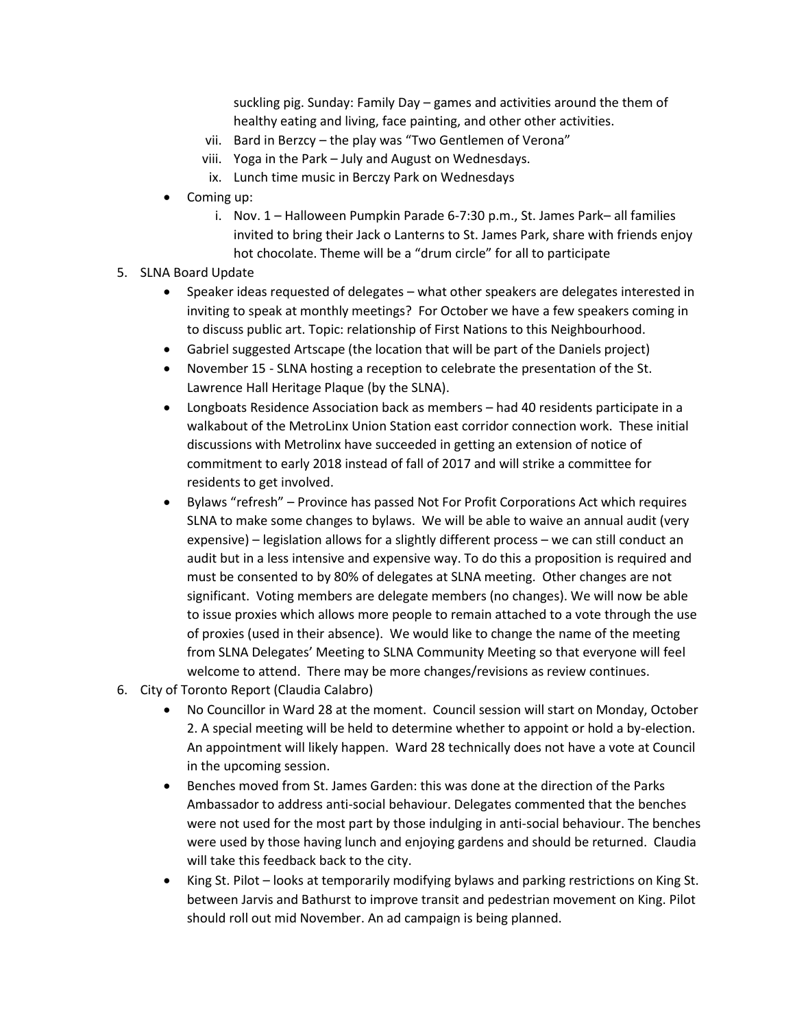suckling pig. Sunday: Family Day – games and activities around the them of healthy eating and living, face painting, and other other activities.

- vii. Bard in Berzcy the play was "Two Gentlemen of Verona"
- viii. Yoga in the Park July and August on Wednesdays.
- ix. Lunch time music in Berczy Park on Wednesdays
- Coming up:
	- i. Nov. 1 Halloween Pumpkin Parade 6-7:30 p.m., St. James Park– all families invited to bring their Jack o Lanterns to St. James Park, share with friends enjoy hot chocolate. Theme will be a "drum circle" for all to participate
- 5. SLNA Board Update
	- Speaker ideas requested of delegates what other speakers are delegates interested in inviting to speak at monthly meetings? For October we have a few speakers coming in to discuss public art. Topic: relationship of First Nations to this Neighbourhood.
	- Gabriel suggested Artscape (the location that will be part of the Daniels project)
	- November 15 SLNA hosting a reception to celebrate the presentation of the St. Lawrence Hall Heritage Plaque (by the SLNA).
	- Longboats Residence Association back as members had 40 residents participate in a walkabout of the MetroLinx Union Station east corridor connection work. These initial discussions with Metrolinx have succeeded in getting an extension of notice of commitment to early 2018 instead of fall of 2017 and will strike a committee for residents to get involved.
	- Bylaws "refresh" Province has passed Not For Profit Corporations Act which requires SLNA to make some changes to bylaws. We will be able to waive an annual audit (very expensive) – legislation allows for a slightly different process – we can still conduct an audit but in a less intensive and expensive way. To do this a proposition is required and must be consented to by 80% of delegates at SLNA meeting. Other changes are not significant. Voting members are delegate members (no changes). We will now be able to issue proxies which allows more people to remain attached to a vote through the use of proxies (used in their absence). We would like to change the name of the meeting from SLNA Delegates' Meeting to SLNA Community Meeting so that everyone will feel welcome to attend. There may be more changes/revisions as review continues.
- 6. City of Toronto Report (Claudia Calabro)
	- No Councillor in Ward 28 at the moment. Council session will start on Monday, October 2. A special meeting will be held to determine whether to appoint or hold a by-election. An appointment will likely happen. Ward 28 technically does not have a vote at Council in the upcoming session.
	- Benches moved from St. James Garden: this was done at the direction of the Parks Ambassador to address anti-social behaviour. Delegates commented that the benches were not used for the most part by those indulging in anti-social behaviour. The benches were used by those having lunch and enjoying gardens and should be returned. Claudia will take this feedback back to the city.
	- King St. Pilot looks at temporarily modifying bylaws and parking restrictions on King St. between Jarvis and Bathurst to improve transit and pedestrian movement on King. Pilot should roll out mid November. An ad campaign is being planned.